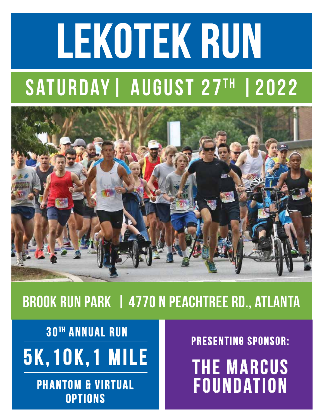# LEKOTEK RUN

# SATURDAY | AUGUST 27TH | 2022



## Brook Run Park | 4770 N Peachtree Rd., Atlanta

5k,10k,1 Mile **30<sup>TH</sup> ANNUAL RUN** 

> **PHANTOM & VIRTUAL OPTIONS**

PRESENTING SPONSOR:<br>THE MARCUS

FOUNDATION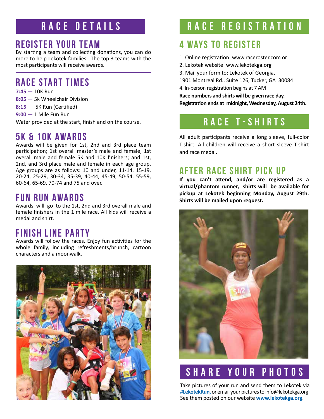#### RACE DETAILS

#### REGISTER YOUR TEAM

By starting a team and collecting donations, you can do more to help Lekotek families. The top 3 teams with the most participants will receive awards.

#### RACE Start times

**7:45** — 10K Run **8:05** — 5k Wheelchair Division **8:15** — 5K Run (Certified) **9:00** — 1 Mile Fun Run

Water provided at the start, finish and on the course.

#### 5K & 10K Awards

Awards will be given for 1st, 2nd and 3rd place team participation; 1st overall master's male and female; 1st overall male and female 5K and 10K finishers; and 1st, 2nd, and 3rd place male and female in each age group. Age groups are as follows: 10 and under, 11-14, 15-19, 20-24, 25-29, 30-34, 35-39, 40-44, 45-49, 50-54, 55-59, 60-64, 65-69, 70-74 and 75 and over.

#### FUN RUN AWARDS

Awards will go to the 1st, 2nd and 3rd overall male and female finishers in the 1 mile race. All kids will receive a medal and shirt.

#### Finish Line Party

Awards will follow the races. Enjoy fun activities for the whole family, including refreshments/brunch, cartoon characters and a moonwalk.



#### RACE REGISTRATION

#### **4 WAYS TO REGISTER**

- 1. Online registration: www.raceroster.com or
- 2. Lekotek website: www.lekotekga.org
- 3. Mail your form to: Lekotek of Georgia,

1901 Montreal Rd., Suite 126, Tucker, GA 30084

4. In-person registration begins at 7 AM

**Race numbers and shirts will be given race day. Registration ends at midnight, Wednesday, August 24th.**

#### Race t-shirts

All adult participants receive a long sleeve, full-color T-shirt. All children will receive a short sleeve T-shirt and race medal.

#### AFTER RACE SHIRT PICK UP

**If you can't attend, and/or are registered as a virtual/phantom runner, shirts will be available for pickup at Lekotek beginning Monday, August 29th. Shirts will be mailed upon request.**



### SHARE YOUR PHOTOS

Take pictures of your run and send them to Lekotek via **#LekotekRun,** or email your pictures to info@lekotekga.org. See them posted on our website **www.lekotekga.org**.